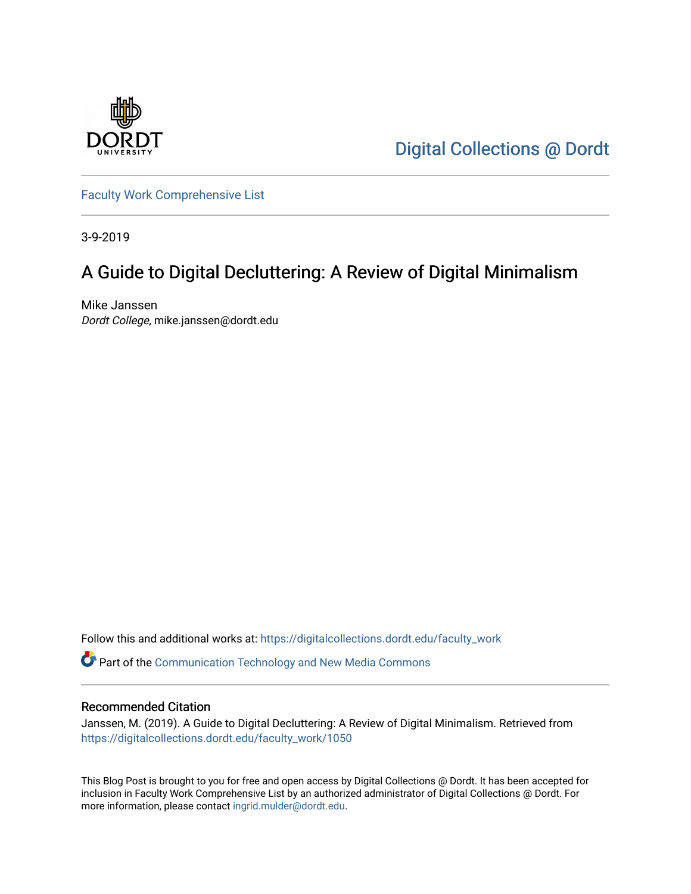

[Digital Collections @ Dordt](https://digitalcollections.dordt.edu/) 

[Faculty Work Comprehensive List](https://digitalcollections.dordt.edu/faculty_work)

3-9-2019

## A Guide to Digital Decluttering: A Review of Digital Minimalism

Mike Janssen Dordt College, mike.janssen@dordt.edu

Follow this and additional works at: [https://digitalcollections.dordt.edu/faculty\\_work](https://digitalcollections.dordt.edu/faculty_work?utm_source=digitalcollections.dordt.edu%2Ffaculty_work%2F1050&utm_medium=PDF&utm_campaign=PDFCoverPages) 

Part of the [Communication Technology and New Media Commons](http://network.bepress.com/hgg/discipline/327?utm_source=digitalcollections.dordt.edu%2Ffaculty_work%2F1050&utm_medium=PDF&utm_campaign=PDFCoverPages) 

#### Recommended Citation

Janssen, M. (2019). A Guide to Digital Decluttering: A Review of Digital Minimalism. Retrieved from [https://digitalcollections.dordt.edu/faculty\\_work/1050](https://digitalcollections.dordt.edu/faculty_work/1050?utm_source=digitalcollections.dordt.edu%2Ffaculty_work%2F1050&utm_medium=PDF&utm_campaign=PDFCoverPages)

This Blog Post is brought to you for free and open access by Digital Collections @ Dordt. It has been accepted for inclusion in Faculty Work Comprehensive List by an authorized administrator of Digital Collections @ Dordt. For more information, please contact [ingrid.mulder@dordt.edu.](mailto:ingrid.mulder@dordt.edu)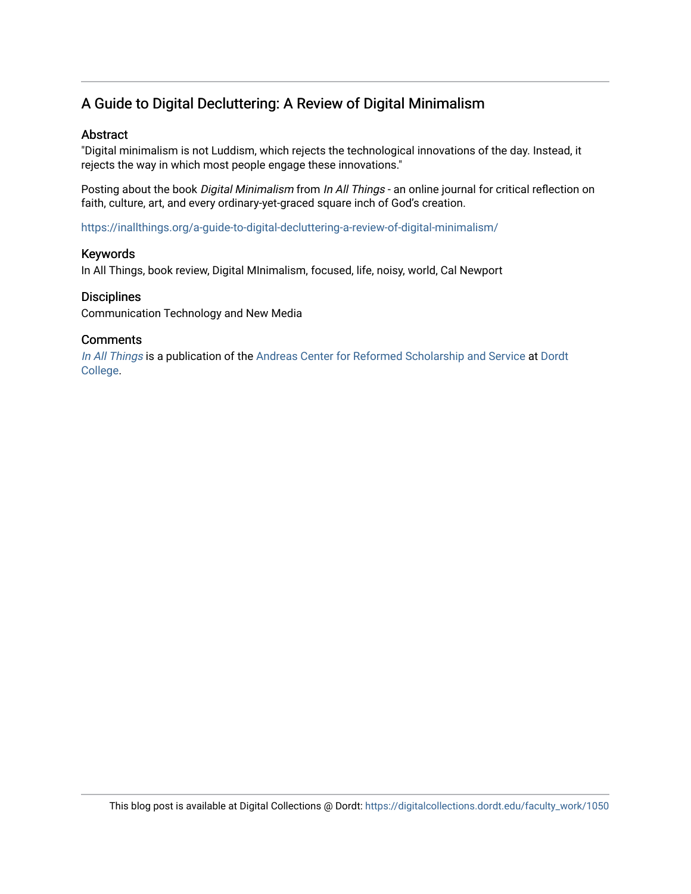### A Guide to Digital Decluttering: A Review of Digital Minimalism

#### Abstract

"Digital minimalism is not Luddism, which rejects the technological innovations of the day. Instead, it rejects the way in which most people engage these innovations."

Posting about the book Digital Minimalism from In All Things - an online journal for critical reflection on faith, culture, art, and every ordinary-yet-graced square inch of God's creation.

<https://inallthings.org/a-guide-to-digital-decluttering-a-review-of-digital-minimalism/>

#### Keywords

In All Things, book review, Digital MInimalism, focused, life, noisy, world, Cal Newport

#### **Disciplines**

Communication Technology and New Media

#### **Comments**

[In All Things](http://inallthings.org/) is a publication of the [Andreas Center for Reformed Scholarship and Service](http://www.dordt.edu/services_support/andreas_center/) at Dordt [College](http://www.dordt.edu/).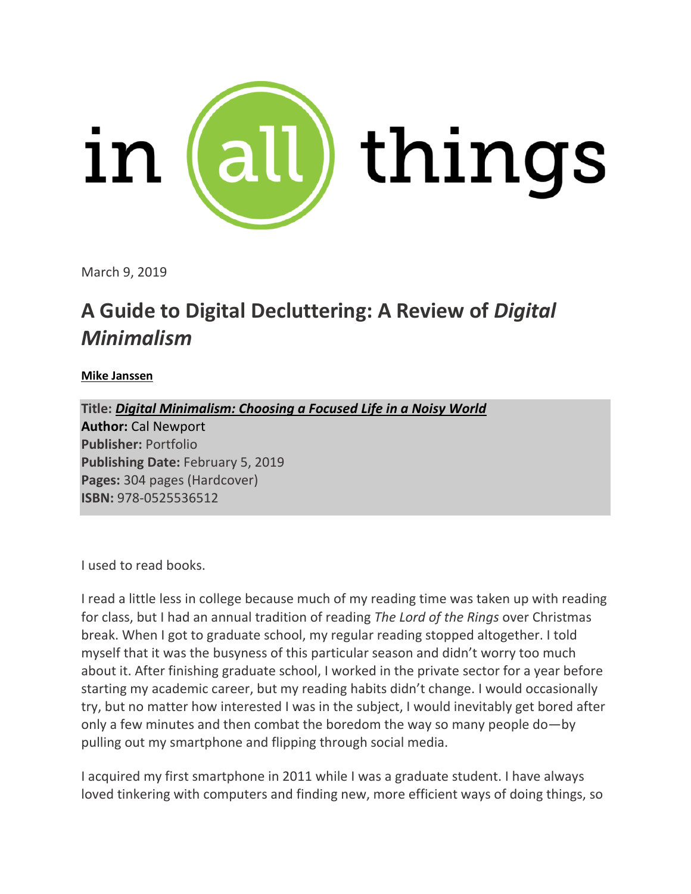

March 9, 2019

# **A Guide to Digital Decluttering: A Review of** *Digital Minimalism*

#### **Mike Janssen**

**Title:** *Digital Minimalism: Choosing a Focused Life in a Noisy World* **Author:** Cal Newport **Publisher:** Portfolio **Publishing Date:** February 5, 2019 **Pages:** 304 pages (Hardcover) **ISBN:** 978-0525536512

I used to read books.

I read a little less in college because much of my reading time was taken up with reading for class, but I had an annual tradition of reading *The Lord of the Rings* over Christmas break. When I got to graduate school, my regular reading stopped altogether. I told myself that it was the busyness of this particular season and didn't worry too much about it. After finishing graduate school, I worked in the private sector for a year before starting my academic career, but my reading habits didn't change. I would occasionally try, but no matter how interested I was in the subject, I would inevitably get bored after only a few minutes and then combat the boredom the way so many people do—by pulling out my smartphone and flipping through social media.

I acquired my first smartphone in 2011 while I was a graduate student. I have always loved tinkering with computers and finding new, more efficient ways of doing things, so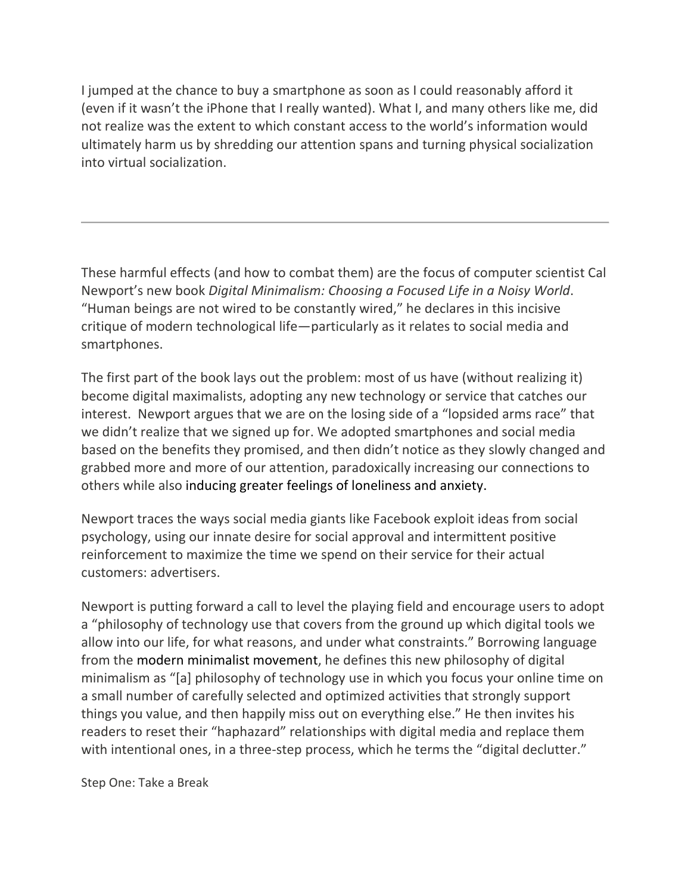I jumped at the chance to buy a smartphone as soon as I could reasonably afford it (even if it wasn't the iPhone that I really wanted). What I, and many others like me, did not realize was the extent to which constant access to the world's information would ultimately harm us by shredding our attention spans and turning physical socialization into virtual socialization.

These harmful effects (and how to combat them) are the focus of computer scientist Cal Newport's new book *Digital Minimalism: Choosing a Focused Life in a Noisy World*. "Human beings are not wired to be constantly wired," he declares in this incisive critique of modern technological life—particularly as it relates to social media and smartphones.

The first part of the book lays out the problem: most of us have (without realizing it) become digital maximalists, adopting any new technology or service that catches our interest. Newport argues that we are on the losing side of a "lopsided arms race" that we didn't realize that we signed up for. We adopted smartphones and social media based on the benefits they promised, and then didn't notice as they slowly changed and grabbed more and more of our attention, paradoxically increasing our connections to others while also inducing greater feelings of loneliness and anxiety.

Newport traces the ways social media giants like Facebook exploit ideas from social psychology, using our innate desire for social approval and intermittent positive reinforcement to maximize the time we spend on their service for their actual customers: advertisers.

Newport is putting forward a call to level the playing field and encourage users to adopt a "philosophy of technology use that covers from the ground up which digital tools we allow into our life, for what reasons, and under what constraints." Borrowing language from the modern minimalist movement, he defines this new philosophy of digital minimalism as "[a] philosophy of technology use in which you focus your online time on a small number of carefully selected and optimized activities that strongly support things you value, and then happily miss out on everything else." He then invites his readers to reset their "haphazard" relationships with digital media and replace them with intentional ones, in a three-step process, which he terms the "digital declutter."

Step One: Take a Break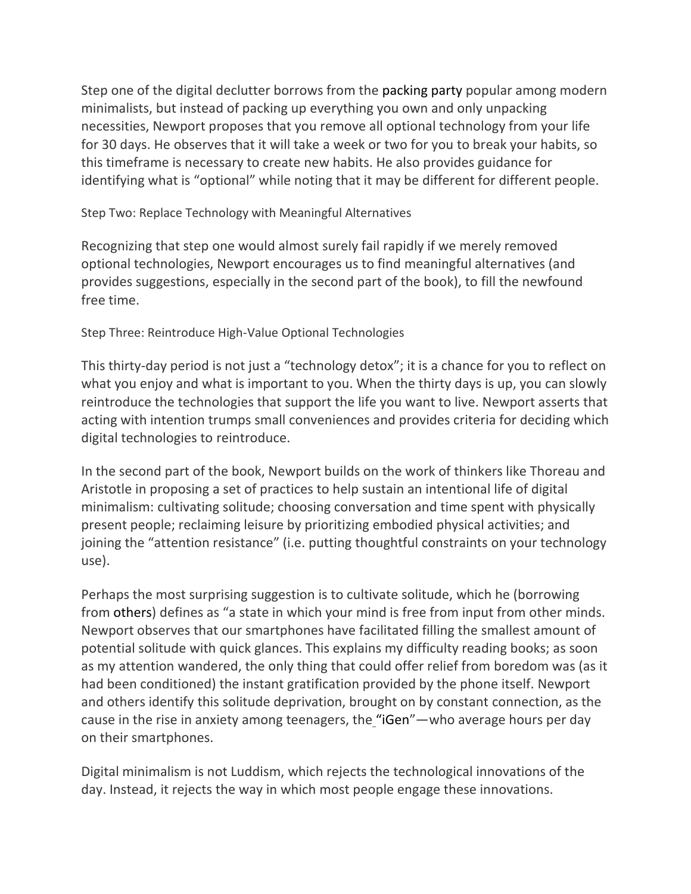Step one of the digital declutter borrows from the packing party popular among modern minimalists, but instead of packing up everything you own and only unpacking necessities, Newport proposes that you remove all optional technology from your life for 30 days. He observes that it will take a week or two for you to break your habits, so this timeframe is necessary to create new habits. He also provides guidance for identifying what is "optional" while noting that it may be different for different people.

Step Two: Replace Technology with Meaningful Alternatives

Recognizing that step one would almost surely fail rapidly if we merely removed optional technologies, Newport encourages us to find meaningful alternatives (and provides suggestions, especially in the second part of the book), to fill the newfound free time.

Step Three: Reintroduce High-Value Optional Technologies

This thirty-day period is not just a "technology detox"; it is a chance for you to reflect on what you enjoy and what is important to you. When the thirty days is up, you can slowly reintroduce the technologies that support the life you want to live. Newport asserts that acting with intention trumps small conveniences and provides criteria for deciding which digital technologies to reintroduce.

In the second part of the book, Newport builds on the work of thinkers like Thoreau and Aristotle in proposing a set of practices to help sustain an intentional life of digital minimalism: cultivating solitude; choosing conversation and time spent with physically present people; reclaiming leisure by prioritizing embodied physical activities; and joining the "attention resistance" (i.e. putting thoughtful constraints on your technology use).

Perhaps the most surprising suggestion is to cultivate solitude, which he (borrowing from others) defines as "a state in which your mind is free from input from other minds. Newport observes that our smartphones have facilitated filling the smallest amount of potential solitude with quick glances. This explains my difficulty reading books; as soon as my attention wandered, the only thing that could offer relief from boredom was (as it had been conditioned) the instant gratification provided by the phone itself. Newport and others identify this solitude deprivation, brought on by constant connection, as the cause in the rise in anxiety among teenagers, the "iGen"—who average hours per day on their smartphones.

Digital minimalism is not Luddism, which rejects the technological innovations of the day. Instead, it rejects the way in which most people engage these innovations.